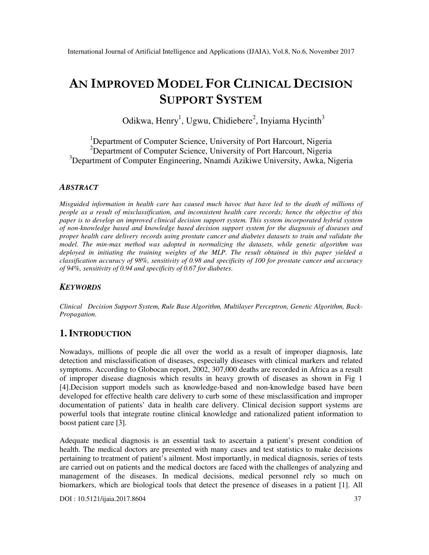# **AN IMPROVED MODEL FOR CLINICAL DECISION SUPPORT SYSTEM**

Odikwa, Henry<sup>1</sup>, Ugwu, Chidiebere<sup>2</sup>, Inyiama Hycinth<sup>3</sup>

<sup>1</sup>Department of Computer Science, University of Port Harcourt, Nigeria  $2$ Department of Computer Science, University of Port Harcourt, Nigeria <sup>3</sup>Department of Computer Engineering, Nnamdi Azikiwe University, Awka, Nigeria

### *ABSTRACT*

*Misguided information in health care has caused much havoc that have led to the death of millions of people as a result of misclassification, and inconsistent health care records; hence the objective of this paper is to develop an improved clinical decision support system. This system incorporated hybrid system of non-knowledge based and knowledge based decision support system for the diagnosis of diseases and proper health care delivery records using prostate cancer and diabetes datasets to train and validate the model. The min-max method was adopted in normalizing the datasets, while genetic algorithm was deployed in initiating the training weights of the MLP. The result obtained in this paper yielded a classification accuracy of 98%, sensitivity of 0.98 and specificity of 100 for prostate cancer and accuracy of 94%, sensitivity of 0.94 and specificity of 0.67 for diabetes*.

# *KEYWORDS*

*Clinical Decision Support System, Rule Base Algorithm, Multilayer Perceptron, Genetic Algorithm, Back-Propagation.* 

# **1. INTRODUCTION**

Nowadays, millions of people die all over the world as a result of improper diagnosis, late detection and misclassification of diseases, especially diseases with clinical markers and related symptoms. According to Globocan report, 2002, 307,000 deaths are recorded in Africa as a result of improper disease diagnosis which results in heavy growth of diseases as shown in Fig 1 [4].Decision support models such as knowledge-based and non-knowledge based have been developed for effective health care delivery to curb some of these misclassification and improper documentation of patients' data in health care delivery. Clinical decision support systems are powerful tools that integrate routine clinical knowledge and rationalized patient information to boost patient care [3].

Adequate medical diagnosis is an essential task to ascertain a patient's present condition of health. The medical doctors are presented with many cases and test statistics to make decisions pertaining to treatment of patient's ailment. Most importantly, in medical diagnosis, series of tests are carried out on patients and the medical doctors are faced with the challenges of analyzing and management of the diseases. In medical decisions, medical personnel rely so much on biomarkers, which are biological tools that detect the presence of diseases in a patient [1]. All

DOI : 10.5121/ijaia.2017.8604 37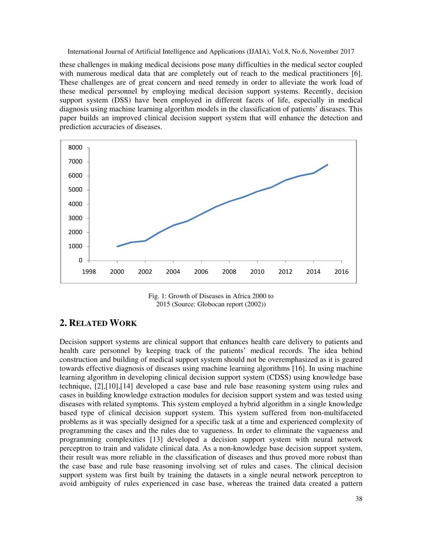these challenges in making medical decisions pose many difficulties in the medical sector coupled with numerous medical data that are completely out of reach to the medical practitioners [6]. These challenges are of great concern and need remedy in order to alleviate the work load of these medical personnel by employing medical decision support systems. Recently, decision support system (DSS) have been employed in different facets of life, especially in medical diagnosis using machine learning algorithm models in the classification of patients' diseases. This paper builds an improved clinical decision support system that will enhance the detection and prediction accuracies of diseases.



Fig. 1: Growth of Diseases in Africa 2000 to 2015 (Source: Globocan report (2002))

# **2. RELATED WORK**

Decision support systems are clinical support that enhances health care delivery to patients and health care personnel by keeping track of the patients' medical records. The idea behind construction and building of medical support system should not be overemphasized as it is geared towards effective diagnosis of diseases using machine learning algorithms [16]. In using machine learning algorithm in developing clinical decision support system (CDSS) using knowledge base technique, [2],[10],[14] developed a case base and rule base reasoning system using rules and cases in building knowledge extraction modules for decision support system and was tested using diseases with related symptoms. This system employed a hybrid algorithm in a single knowledge based type of clinical decision support system. This system suffered from non-multifaceted problems as it was specially designed for a specific task at a time and experienced complexity of programming the cases and the rules due to vagueness. In order to eliminate the vagueness and programming complexities [13] developed a decision support system with neural network perceptron to train and validate clinical data. As a non-knowledge base decision support system, their result was more reliable in the classification of diseases and thus proved more robust than the case base and rule base reasoning involving set of rules and cases. The clinical decision support system was first built by training the datasets in a single neural network perceptron to avoid ambiguity of rules experienced in case base, whereas the trained data created a pattern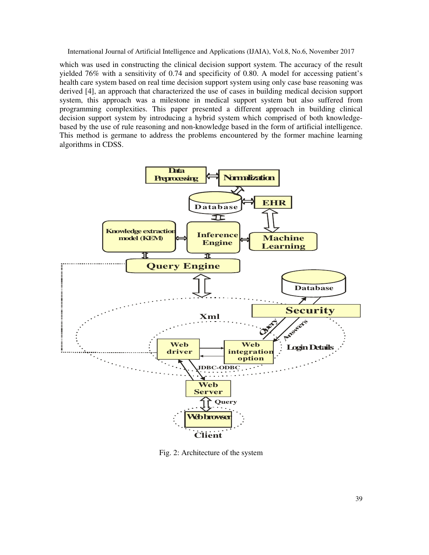which was used in constructing the clinical decision support system. The accuracy of the result yielded 76% with a sensitivity of 0.74 and specificity of 0.80. A model for accessing patient's health care system based on real time decision support system using only case base reasoning was derived [4], an approach that characterized the use of cases in building medical decision support system, this approach was a milestone in medical support system but also suffered from programming complexities. This paper presented a different approach in building clinical decision support system by introducing a hybrid system which comprised of both knowledgebased by the use of rule reasoning and non-knowledge based in the form of artificial intelligence. This method is germane to address the problems encountered by the former machine learning algorithms in CDSS.



Fig. 2: Architecture of the system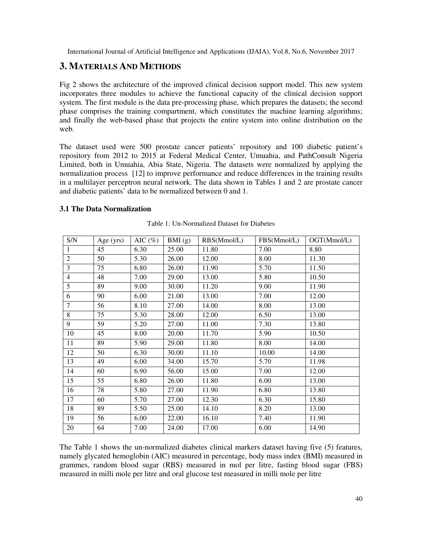# **3. MATERIALS AND METHODS**

Fig 2 shows the architecture of the improved clinical decision support model. This new system incorporates three modules to achieve the functional capacity of the clinical decision support system. The first module is the data pre-processing phase, which prepares the datasets; the second phase comprises the training compartment, which constitutes the machine learning algorithms; and finally the web-based phase that projects the entire system into online distribution on the web.

The dataset used were 500 prostate cancer patients' repository and 100 diabetic patient's repository from 2012 to 2015 at Federal Medical Center, Umuahia, and PathConsult Nigeria Limited, both in Umuahia, Abia State, Nigeria. The datasets were normalized by applying the normalization process [12] to improve performance and reduce differences in the training results in a multilayer perceptron neural network. The data shown in Tables 1 and 2 are prostate cancer and diabetic patients' data to be normalized between 0 and 1.

### **3.1 The Data Normalization**

| S/N            | Age (yrs) | AIC $(\%)$ | BMI(g) | RBS(Mmol/L) | FBS(Mmol/L) | OGT(Mmol/L) |
|----------------|-----------|------------|--------|-------------|-------------|-------------|
| $\mathbf{1}$   | 45        | 6.30       | 25.00  | 11.80       | 7.00        | 8.80        |
| $\overline{2}$ | 50        | 5.30       | 26.00  | 12.00       | 8.00        | 11.30       |
| 3              | 75        | 6.80       | 26.00  | 11.90       | 5.70        | 11.50       |
| $\overline{4}$ | 48        | 7.00       | 29.00  | 13.00       | 5.80        | 10.50       |
| 5              | 89        | 9.00       | 30.00  | 11.20       | 9.00        | 11.90       |
| 6              | 90        | 6.00       | 21.00  | 13.00       | 7.00        | 12.00       |
| $\overline{7}$ | 56        | 8.10       | 27.00  | 14.00       | 8.00        | 13.00       |
| 8              | 75        | 5.30       | 28.00  | 12.00       | 6.50        | 13.00       |
| 9              | 59        | 5.20       | 27.00  | 11.00       | 7.30        | 13.80       |
| 10             | 45        | 8.00       | 20.00  | 11.70       | 5.90        | 10.50       |
| 11             | 89        | 5.90       | 29.00  | 11.80       | 8.00        | 14.00       |
| 12             | 50        | 6.30       | 30.00  | 11.10       | 10.00       | 14.00       |
| 13             | 49        | 6.00       | 34.00  | 15.70       | 5.70        | 11.98       |
| 14             | 60        | 6.90       | 56.00  | 15.00       | 7.00        | 12.00       |
| 15             | 55        | 6.80       | 26.00  | 11.80       | 6.00        | 13.00       |
| 16             | 78        | 5.80       | 27.00  | 11.90       | 6.80        | 13.80       |
| 17             | 60        | 5.70       | 27.00  | 12.30       | 6.30        | 15.80       |
| 18             | 89        | 5.50       | 25.00  | 14.10       | 8.20        | 13.00       |
| 19             | 56        | 6.00       | 22.00  | 16.10       | 7.40        | 11.90       |
| 20             | 64        | 7.00       | 24.00  | 17.00       | 6.00        | 14.90       |

Table 1: Un-Normalized Dataset for Diabetes

The Table 1 shows the un-normalized diabetes clinical markers dataset having five (5) features, namely glycated hemoglobin (AIC) measured in percentage, body mass index (BMI) measured in grammes, random blood sugar (RBS) measured in mol per litre, fasting blood sugar (FBS) measured in milli mole per litre and oral glucose test measured in milli mole per litre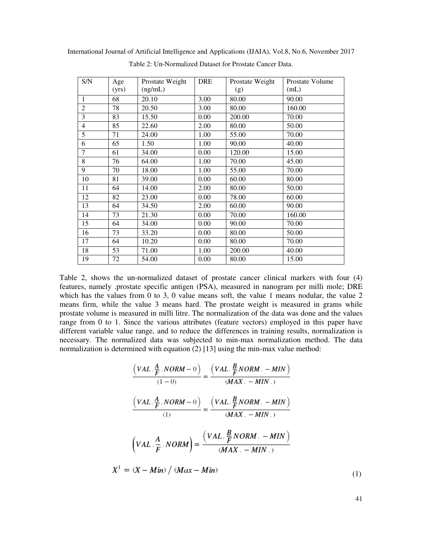| S/N            | Age   | Prostate Weight | <b>DRE</b> | Prostate Weight | Prostate Volume |
|----------------|-------|-----------------|------------|-----------------|-----------------|
|                | (yrs) | (ng/mL)         |            | (g)             | (mL)            |
| $\mathbf{1}$   | 68    | 20.10           | 3.00       | 80.00           | 90.00           |
| $\overline{2}$ | 78    | 20.50           | 3.00       | 80.00           | 160.00          |
| 3              | 83    | 15.50           | 0.00       | 200.00          | 70.00           |
| $\overline{4}$ | 85    | 22.60           | 2.00       | 80.00           | 50.00           |
| 5              | 71    | 24.00           | 1.00       | 55.00           | 70.00           |
| 6              | 65    | 1.50            | 1.00       | 90.00           | 40.00           |
| 7              | 61    | 34.00           | 0.00       | 120.00          | 15.00           |
| 8              | 76    | 64.00           | 1.00       | 70.00           | 45.00           |
| $\overline{9}$ | 70    | 18.00           | 1.00       | 55.00           | 70.00           |
| 10             | 81    | 39.00           | 0.00       | 60.00           | 80.00           |
| 11             | 64    | 14.00           | 2.00       | 80.00           | 50.00           |
| 12             | 82    | 23.00           | 0.00       | 78.00           | 60.00           |
| 13             | 64    | 34.50           | 2.00       | 60.00           | 90.00           |
| 14             | 73    | 21.30           | 0.00       | 70.00           | 160.00          |
| 15             | 64    | 34.00           | 0.00       | 90.00           | 70.00           |
| 16             | 73    | 33.20           | 0.00       | 80.00           | 50.00           |
| 17             | 64    | 10.20           | 0.00       | 80.00           | 70.00           |
| 18             | 53    | 71.00           | 1.00       | 200.00          | 40.00           |
| 19             | 72    | 54.00           | 0.00       | 80.00           | 15.00           |

International Journal of Artificial Intelligence and Applications (IJAIA), Vol.8, No.6, November 2017 Table 2: Un-Normalized Dataset for Prostate Cancer Data.

Table 2, shows the un-normalized dataset of prostate cancer clinical markers with four (4) features, namely .prostate specific antigen (PSA), measured in nanogram per milli mole; DRE which has the values from 0 to 3, 0 value means soft, the value 1 means nodular, the value 2 means firm, while the value 3 means hard. The prostate weight is measured in grams while prostate volume is measured in milli litre. The normalization of the data was done and the values range from 0 to 1. Since the various attributes (feature vectors) employed in this paper have different variable value range, and to reduce the differences in training results, normalization is necessary. The normalized data was subjected to min-max normalization method. The data normalization is determined with equation (2) [13] using the min-max value method:

$$
\frac{\left(VAL \cdot \frac{A}{F} \cdot NORM - 0\right)}{(1-0)} = \frac{\left(VAL \cdot \frac{B}{F} NORM \cdot - MIN\right)}{(MAX \cdot - MIN \cdot)}
$$
\n
$$
\frac{\left(VAL \cdot \frac{A}{F} \cdot NORM - 0\right)}{(1)} = \frac{\left( VAL \cdot \frac{B}{F} NORM \cdot - MIN\right)}{(MAX \cdot - MIN \cdot)}
$$
\n
$$
\left( VAL \cdot \frac{A}{F} \cdot NORM\right) = \frac{\left( VAL \cdot \frac{B}{F} NORM \cdot - MIN\right)}{(MAX \cdot - MIN \cdot)}
$$
\n
$$
X^{1} = (X - Min) / (Max - Min) \tag{1}
$$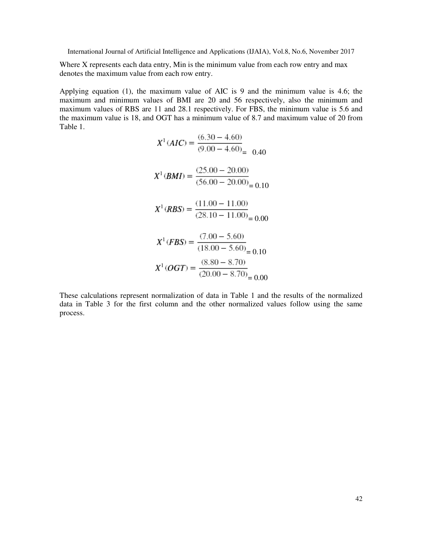Where X represents each data entry, Min is the minimum value from each row entry and max denotes the maximum value from each row entry.

Applying equation (1), the maximum value of AIC is 9 and the minimum value is 4.6; the maximum and minimum values of BMI are 20 and 56 respectively, also the minimum and maximum values of RBS are 11 and 28.1 respectively. For FBS, the minimum value is 5.6 and the maximum value is 18, and OGT has a minimum value of 8.7 and maximum value of 20 from Table 1.

$$
X^{1}(AIC) = \frac{(6.30 - 4.60)}{(9.00 - 4.60)} = 0.40
$$
  
\n
$$
X^{1}(BMD) = \frac{(25.00 - 20.00)}{(56.00 - 20.00)} = 0.10
$$
  
\n
$$
X^{1}(RBS) = \frac{(11.00 - 11.00)}{(28.10 - 11.00)} = 0.00
$$
  
\n
$$
X^{1}(FBS) = \frac{(7.00 - 5.60)}{(18.00 - 5.60)} = 0.10
$$
  
\n
$$
X^{1}(OGT) = \frac{(8.80 - 8.70)}{(20.00 - 8.70)} = 0.00
$$

These calculations represent normalization of data in Table 1 and the results of the normalized data in Table 3 for the first column and the other normalized values follow using the same process.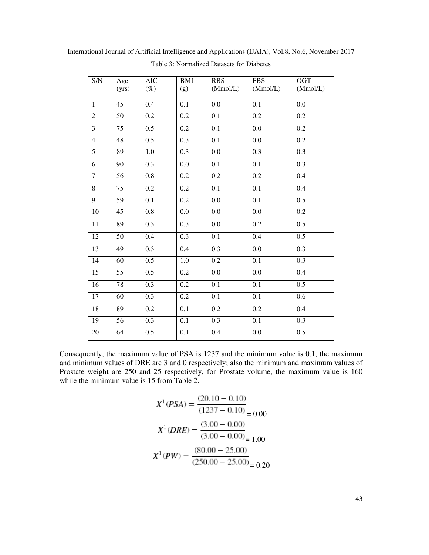| S/N            | Age<br>(yrs) | <b>AIC</b><br>$(\%)$ | <b>BMI</b><br>(g) | <b>RBS</b><br>(Mmol/L) | <b>FBS</b><br>(Mmol/L) | OGT<br>(Mmol/L) |
|----------------|--------------|----------------------|-------------------|------------------------|------------------------|-----------------|
| $\mathbf{1}$   | 45           | 0.4                  | 0.1               | 0.0                    | 0.1                    | 0.0             |
| $\overline{2}$ | 50           | 0.2                  | $\overline{0.2}$  | $\overline{0.1}$       | 0.2                    | 0.2             |
| $\overline{3}$ | 75           | 0.5                  | 0.2               | 0.1                    | 0.0                    | 0.2             |
| $\overline{4}$ | 48           | 0.5                  | 0.3               | 0.1                    | 0.0                    | 0.2             |
| $\overline{5}$ | 89           | 1.0                  | 0.3               | 0.0                    | 0.3                    | 0.3             |
| $\overline{6}$ | 90           | 0.3                  | 0.0               | 0.1                    | 0.1                    | 0.3             |
| $\overline{7}$ | 56           | 0.8                  | 0.2               | 0.2                    | 0.2                    | 0.4             |
| $\overline{8}$ | 75           | 0.2                  | 0.2               | 0.1                    | 0.1                    | 0.4             |
| $\overline{9}$ | 59           | 0.1                  | $0.2\,$           | 0.0                    | 0.1                    | 0.5             |
| 10             | 45           | 0.8                  | 0.0               | 0.0                    | 0.0                    | 0.2             |
| 11             | 89           | 0.3                  | 0.3               | 0.0                    | 0.2                    | 0.5             |
| 12             | 50           | 0.4                  | $\overline{0.3}$  | 0.1                    | 0.4                    | 0.5             |
| 13             | 49           | 0.3                  | 0.4               | 0.3                    | 0.0                    | 0.3             |
| 14             | 60           | 0.5                  | 1.0               | 0.2                    | 0.1                    | 0.3             |
| 15             | 55           | $\overline{0.5}$     | 0.2               | 0.0                    | 0.0                    | 0.4             |
| 16             | 78           | 0.3                  | 0.2               | 0.1                    | 0.1                    | 0.5             |
| 17             | 60           | 0.3                  | 0.2               | 0.1                    | 0.1                    | 0.6             |
| 18             | 89           | $\overline{0.2}$     | $\overline{0.1}$  | $\overline{0.2}$       | 0.2                    | 0.4             |
| 19             | 56           | 0.3                  | 0.1               | 0.3                    | 0.1                    | 0.3             |
| 20             | 64           | 0.5                  | 0.1               | 0.4                    | 0.0                    | 0.5             |

International Journal of Artificial Intelligence and Applications (IJAIA), Vol.8, No.6, November 2017 Table 3: Normalized Datasets for Diabetes

Consequently, the maximum value of PSA is 1237 and the minimum value is 0.1, the maximum and minimum values of DRE are 3 and 0 respectively; also the minimum and maximum values of Prostate weight are 250 and 25 respectively, for Prostate volume, the maximum value is 160 while the minimum value is 15 from Table 2.

$$
X^{1}(PSA) = \frac{(20.10 - 0.10)}{(1237 - 0.10)} = 0.00
$$

$$
X^{1}(DRE) = \frac{(3.00 - 0.00)}{(3.00 - 0.00)} = 1.00
$$

$$
X^{1}(PW) = \frac{(80.00 - 25.00)}{(250.00 - 25.00)} = 0.20
$$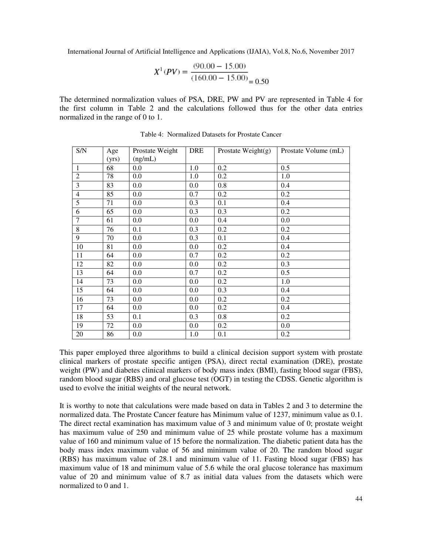$$
X^{1}(PV) = \frac{(90.00 - 15.00)}{(160.00 - 15.00)} = 0.50
$$

The determined normalization values of PSA, DRE, PW and PV are represented in Table 4 for the first column in Table 2 and the calculations followed thus for the other data entries normalized in the range of 0 to 1.

| S/N            | Age<br>(yrs) | Prostate Weight<br>(ng/mL) | <b>DRE</b> | Prostate Weight $(g)$ | Prostate Volume (mL) |
|----------------|--------------|----------------------------|------------|-----------------------|----------------------|
| $\mathbf{1}$   | 68           | 0.0                        | 1.0        | 0.2                   | 0.5                  |
| $\overline{2}$ | 78           | 0.0                        | 1.0        | 0.2                   | 1.0                  |
| $\overline{3}$ | 83           | 0.0                        | 0.0        | 0.8                   | 0.4                  |
| $\overline{4}$ | 85           | 0.0                        | 0.7        | 0.2                   | 0.2                  |
| 5              | 71           | 0.0                        | 0.3        | 0.1                   | 0.4                  |
| 6              | 65           | 0.0                        | 0.3        | 0.3                   | 0.2                  |
| $\overline{7}$ | 61           | 0.0                        | 0.0        | 0.4                   | 0.0                  |
| $\,$ 8 $\,$    | 76           | 0.1                        | 0.3        | 0.2                   | 0.2                  |
| 9              | 70           | 0.0                        | 0.3        | 0.1                   | 0.4                  |
| 10             | 81           | 0.0                        | 0.0        | 0.2                   | 0.4                  |
| 11             | 64           | 0.0                        | 0.7        | 0.2                   | 0.2                  |
| 12             | 82           | 0.0                        | 0.0        | 0.2                   | 0.3                  |
| 13             | 64           | 0.0                        | 0.7        | 0.2                   | 0.5                  |
| 14             | 73           | 0.0                        | 0.0        | 0.2                   | 1.0                  |
| 15             | 64           | 0.0                        | 0.0        | 0.3                   | 0.4                  |
| 16             | 73           | 0.0                        | 0.0        | 0.2                   | 0.2                  |
| 17             | 64           | 0.0                        | 0.0        | 0.2                   | 0.4                  |
| 18             | 53           | 0.1                        | 0.3        | 0.8                   | 0.2                  |
| 19             | 72           | 0.0                        | 0.0        | 0.2                   | 0.0                  |
| 20             | 86           | 0.0                        | 1.0        | 0.1                   | 0.2                  |

Table 4: Normalized Datasets for Prostate Cancer

This paper employed three algorithms to build a clinical decision support system with prostate clinical markers of prostate specific antigen (PSA), direct rectal examination (DRE), prostate weight (PW) and diabetes clinical markers of body mass index (BMI), fasting blood sugar (FBS), random blood sugar (RBS) and oral glucose test (OGT) in testing the CDSS. Genetic algorithm is used to evolve the initial weights of the neural network.

It is worthy to note that calculations were made based on data in Tables 2 and 3 to determine the normalized data. The Prostate Cancer feature has Minimum value of 1237, minimum value as 0.1. The direct rectal examination has maximum value of 3 and minimum value of 0; prostate weight has maximum value of 250 and minimum value of 25 while prostate volume has a maximum value of 160 and minimum value of 15 before the normalization. The diabetic patient data has the body mass index maximum value of 56 and minimum value of 20. The random blood sugar (RBS) has maximum value of 28.1 and minimum value of 11. Fasting blood sugar (FBS) has maximum value of 18 and minimum value of 5.6 while the oral glucose tolerance has maximum value of 20 and minimum value of 8.7 as initial data values from the datasets which were normalized to 0 and 1.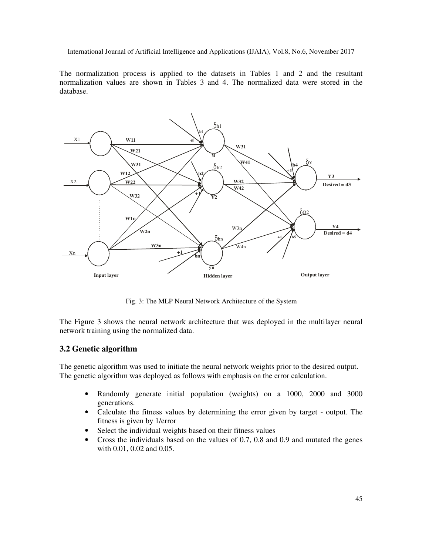The normalization process is applied to the datasets in Tables 1 and 2 and the resultant normalization values are shown in Tables 3 and 4. The normalized data were stored in the database.



Fig. 3: The MLP Neural Network Architecture of the System

The Figure 3 shows the neural network architecture that was deployed in the multilayer neural network training using the normalized data.

### **3.2 Genetic algorithm**

The genetic algorithm was used to initiate the neural network weights prior to the desired output. The genetic algorithm was deployed as follows with emphasis on the error calculation.

- Randomly generate initial population (weights) on a 1000, 2000 and 3000 generations.
- Calculate the fitness values by determining the error given by target output. The fitness is given by 1/error
- Select the individual weights based on their fitness values
- Cross the individuals based on the values of 0.7, 0.8 and 0.9 and mutated the genes with 0.01, 0.02 and 0.05.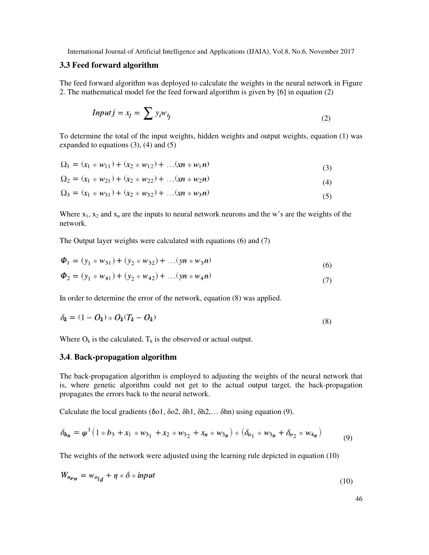### **3.3 Feed forward algorithm**

The feed forward algorithm was deployed to calculate the weights in the neural network in Figure 2. The mathematical model for the feed forward algorithm is given by [6] in equation (2)

$$
Input j = x_j = \sum y_i w_{ij} \tag{2}
$$

To determine the total of the input weights, hidden weights and output weights, equation (1) was expanded to equations  $(3)$ ,  $(4)$  and  $(5)$ 

$$
\Omega_1 = (x_1 * w_{11}) + (x_2 * w_{12}) + \dots + (x_n * w_{1n})
$$
\n(3)

$$
\Omega_2 = (x_1 * w_{21}) + (x_2 * w_{22}) + \dots (x_n * w_{2n})
$$
\n(4)

$$
\Omega_3 = (x_1 * w_{31}) + (x_2 * w_{32}) + \dots + (x_n * w_{3n})
$$
\n<sup>(5)</sup>

Where  $x_1$ ,  $x_2$  and  $x_n$  are the inputs to neural network neurons and the w's are the weights of the network.

The Output layer weights were calculated with equations (6) and (7)

$$
\Phi_1 = (y_1 * w_{31}) + (y_2 * w_{32}) + \dots (yn * w_{3}n)
$$
  
\n
$$
\Phi_2 = (y_1 * w_{41}) + (y_2 * w_{42}) + \dots (yn * w_{4}n)
$$
\n(7)

In order to determine the error of the network, equation (8) was applied.

$$
\delta_k = (1 - O_k) * O_k(T_k - O_k) \tag{8}
$$

Where  $O_k$  is the calculated,  $T_k$  is the observed or actual output.

#### **3.4**. **Back-propagation algorithm**

The back-propagation algorithm is employed to adjusting the weights of the neural network that is, where genetic algorithm could not get to the actual output target, the back-propagation propagates the errors back to the neural network.

Calculate the local gradients (δo1, δo2, δh1, δh2,… δhn) using equation (9).

$$
\delta_{h_n} = \varphi^1 \left( 1 * b_3 + x_1 * w_{3_1} + x_2 * w_{3_2} + x_n * w_{3_n} \right) * \left( \delta_{o_1} * w_{3_n} + \delta_{o_2} * w_{4_n} \right) \tag{9}
$$

The weights of the network were adjusted using the learning rule depicted in equation (10)

$$
W_{n_{ew}} = w_{o_{l,d}} + \eta * \delta * input \tag{10}
$$

46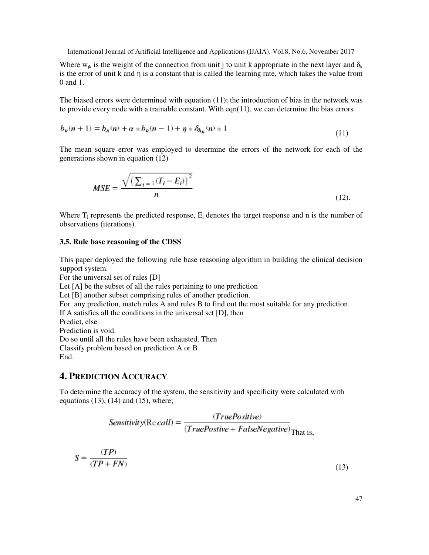Where  $w_{ik}$  is the weight of the connection from unit j to unit k appropriate in the next layer and  $\delta_k$ is the error of unit k and η is a constant that is called the learning rate, which takes the value from 0 and 1.

The biased errors were determined with equation (11); the introduction of bias in the network was to provide every node with a trainable constant. With eqn(11), we can determine the bias errors

$$
b_n(n+1) = b_n(n) + \alpha * b_n(n-1) + \eta * \delta_{h_n}(n) * 1
$$
\n(11)

The mean square error was employed to determine the errors of the network for each of the generations shown in equation (12)

$$
MSE = \frac{\sqrt{\left(\sum_{i=1} (T_i - E_i)\right)^2}}{n} \tag{12}
$$

Where  $T_i$  represents the predicted response,  $E_i$  denotes the target response and n is the number of observations (iterations).

#### **3.5. Rule base reasoning of the CDSS**

This paper deployed the following rule base reasoning algorithm in building the clinical decision support system.

For the universal set of rules [D]

Let [A] be the subset of all the rules pertaining to one prediction

Let [B] another subset comprising rules of another prediction.

For any prediction, match rules A and rules B to find out the most suitable for any prediction.

If A satisfies all the conditions in the universal set [D], then

Predict, else

Prediction is void.

Do so until all the rules have been exhausted. Then

Classify problem based on prediction A or B

End.

# **4. PREDICTION ACCURACY**

To determine the accuracy of the system, the sensitivity and specificity were calculated with equations  $(13)$ ,  $(14)$  and  $(15)$ , where;

$$
Sensitivity(Re\,call) = \frac{(TruePositive)}{(TruePositive + FalseNegative)}_{That\,is,}
$$

$$
S = \frac{(TP)}{(TP + FN)}
$$
\n(13)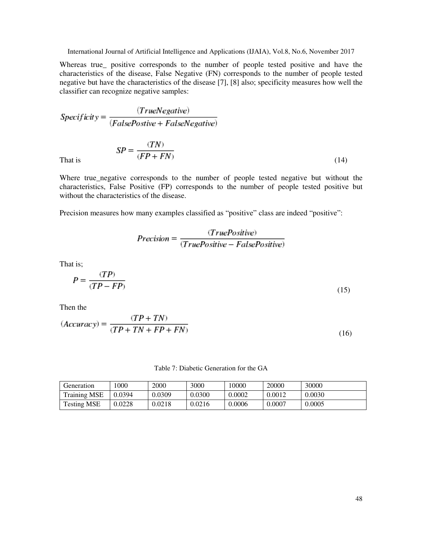Whereas true\_ positive corresponds to the number of people tested positive and have the characteristics of the disease, False Negative (FN) corresponds to the number of people tested negative but have the characteristics of the disease [7], [8] also; specificity measures how well the classifier can recognize negative samples:

$$
Specificity = \frac{(TrueNegative)}{(FalsePositive + FalseNegative)}
$$

That is 
$$
SP = \frac{(TN)}{(FP + FN)}
$$
 (14)

Where true\_negative corresponds to the number of people tested negative but without the characteristics, False Positive (FP) corresponds to the number of people tested positive but without the characteristics of the disease.

Precision measures how many examples classified as "positive" class are indeed "positive":

$$
Precision = \frac{(TruePositive)}{(TruePositive - FalsePositive)}
$$

That is;

$$
P = \frac{(TP)}{(TP - FP)}
$$
\n<sup>(15)</sup>

Then the

$$
(Accuracy) = \frac{(TP + TN)}{(TP + TN + FP + FN)}
$$
\n<sup>(16)</sup>

Table 7: Diabetic Generation for the GA

| Generation          | 000    | 2000   | 3000   | 0000   | 20000  | 30000  |
|---------------------|--------|--------|--------|--------|--------|--------|
| <b>Training MSE</b> | 0.0394 | 0.0309 | 0.0300 | 0.0002 | 0.0012 | 0.0030 |
| <b>Testing MSE</b>  | 0.0228 | 0.0218 | 0.0216 | 0.0006 | 0.0007 | 0.0005 |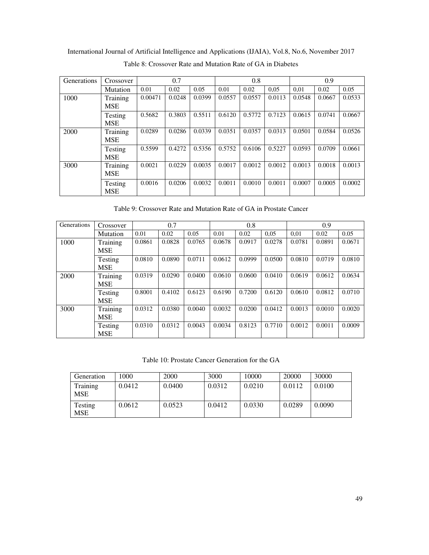International Journal of Artificial Intelligence and Applications (IJAIA), Vol.8, No.6, November 2017 Table 8: Crossover Rate and Mutation Rate of GA in Diabetes

| Generations | Crossover              | 0.7     |        |        |        | 0.8    |        |        | 0.9    |        |
|-------------|------------------------|---------|--------|--------|--------|--------|--------|--------|--------|--------|
|             | Mutation               | 0.01    | 0.02   | 0.05   | 0.01   | 0.02   | 0.05   | 0.01   | 0.02   | 0.05   |
| 1000        | Training<br><b>MSE</b> | 0.00471 | 0.0248 | 0.0399 | 0.0557 | 0.0557 | 0.0113 | 0.0548 | 0.0667 | 0.0533 |
|             | Testing<br><b>MSE</b>  | 0.5682  | 0.3803 | 0.5511 | 0.6120 | 0.5772 | 0.7123 | 0.0615 | 0.0741 | 0.0667 |
| 2000        | Training<br><b>MSE</b> | 0.0289  | 0.0286 | 0.0339 | 0.0351 | 0.0357 | 0.0313 | 0.0501 | 0.0584 | 0.0526 |
|             | Testing<br><b>MSE</b>  | 0.5599  | 0.4272 | 0.5356 | 0.5752 | 0.6106 | 0.5227 | 0.0593 | 0.0709 | 0.0661 |
| 3000        | Training<br><b>MSE</b> | 0.0021  | 0.0229 | 0.0035 | 0.0017 | 0.0012 | 0.0012 | 0.0013 | 0.0018 | 0.0013 |
|             | Testing<br><b>MSE</b>  | 0.0016  | 0.0206 | 0.0032 | 0.0011 | 0.0010 | 0.0011 | 0.0007 | 0.0005 | 0.0002 |

Table 9: Crossover Rate and Mutation Rate of GA in Prostate Cancer

| Generations | Crossover              |        | 0.7    |        |        | 0.8    |        | 0.9    |        |        |
|-------------|------------------------|--------|--------|--------|--------|--------|--------|--------|--------|--------|
|             | Mutation               | 0.01   | 0.02   | 0.05   | 0.01   | 0.02   | 0.05   | 0,01   | 0.02   | 0.05   |
| 1000        | Training<br><b>MSE</b> | 0.0861 | 0.0828 | 0.0765 | 0.0678 | 0.0917 | 0.0278 | 0.0781 | 0.0891 | 0.0671 |
|             | Testing<br><b>MSE</b>  | 0.0810 | 0.0890 | 0.0711 | 0.0612 | 0.0999 | 0.0500 | 0.0810 | 0.0719 | 0.0810 |
| 2000        | Training<br><b>MSE</b> | 0.0319 | 0.0290 | 0.0400 | 0.0610 | 0.0600 | 0.0410 | 0.0619 | 0.0612 | 0.0634 |
|             | Testing<br><b>MSE</b>  | 0.8001 | 0.4102 | 0.6123 | 0.6190 | 0.7200 | 0.6120 | 0.0610 | 0.0812 | 0.0710 |
| 3000        | Training<br><b>MSE</b> | 0.0312 | 0.0380 | 0.0040 | 0.0032 | 0.0200 | 0.0412 | 0.0013 | 0.0010 | 0.0020 |
|             | Testing<br><b>MSE</b>  | 0.0310 | 0.0312 | 0.0043 | 0.0034 | 0.8123 | 0.7710 | 0.0012 | 0.0011 | 0.0009 |

Table 10: Prostate Cancer Generation for the GA

| Generation             | 1000   | 2000   | 3000   | 10000  | 20000  | 30000  |
|------------------------|--------|--------|--------|--------|--------|--------|
| Training<br><b>MSE</b> | 0.0412 | 0.0400 | 0.0312 | 0.0210 | 0.0112 | 0.0100 |
| Testing<br><b>MSE</b>  | 0.0612 | 0.0523 | 0.0412 | 0.0330 | 0.0289 | 0.0090 |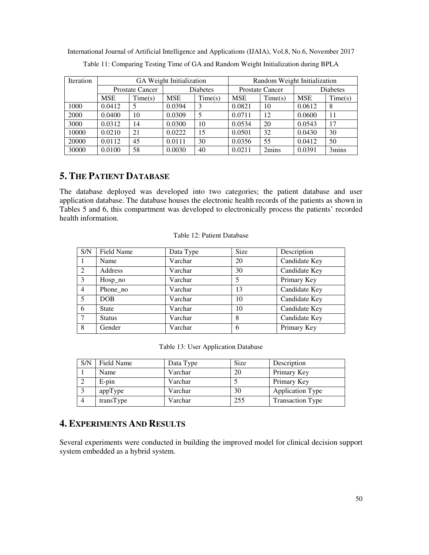| <b>Iteration</b> |            |                        | GA Weight Initialization |                 | Random Weight Initialization |                        |            |                 |  |
|------------------|------------|------------------------|--------------------------|-----------------|------------------------------|------------------------|------------|-----------------|--|
|                  |            | <b>Prostate Cancer</b> |                          | <b>Diabetes</b> |                              | <b>Prostate Cancer</b> |            | <b>Diabetes</b> |  |
|                  | <b>MSE</b> | Time(s)                | MSE                      | Time(s)         | <b>MSE</b>                   | Time(s)                | <b>MSE</b> | Time(s)         |  |
| 1000             | 0.0412     |                        | 0.0394                   | 3               | 0.0821                       | 10                     | 0.0612     | 8               |  |
| 2000             | 0.0400     | 10                     | 0.0309                   |                 | 0.0711                       | 12                     | 0.0600     | 11              |  |
| 3000             | 0.0312     | 14                     | 0.0300                   | 10              | 0.0534                       | 20                     | 0.0543     | 17              |  |
| 10000            | 0.0210     | 21                     | 0.0222                   | 15              | 0.0501                       | 32                     | 0.0430     | 30              |  |
| 20000            | 0.0112     | 45                     | 0.0111                   | 30              | 0.0356                       | 55                     | 0.0412     | 50              |  |
| 30000            | 0.0100     | 58                     | 0.0030                   | 40              | 0.0211                       | 2mins                  | 0.0391     | 3mins           |  |

International Journal of Artificial Intelligence and Applications (IJAIA), Vol.8, No.6, November 2017 Table 11: Comparing Testing Time of GA and Random Weight Initialization during BPLA

# **5. THE PATIENT DATABASE**

The database deployed was developed into two categories; the patient database and user application database. The database houses the electronic health records of the patients as shown in Tables 5 and 6, this compartment was developed to electronically process the patients' recorded health information.

|  |  |  | Table 12: Patient Database |
|--|--|--|----------------------------|
|--|--|--|----------------------------|

| S/N            | Field Name    | Data Type | <b>Size</b> | Description   |
|----------------|---------------|-----------|-------------|---------------|
|                | Name          | Varchar   | 20          | Candidate Key |
| $\mathfrak{D}$ | Address       | Varchar   | 30          | Candidate Key |
| $\mathcal{E}$  | Hosp_no       | Varchar   | 5           | Primary Key   |
| $\overline{4}$ | Phone_no      | Varchar   | 13          | Candidate Key |
| 5              | <b>DOB</b>    | Varchar   | 10          | Candidate Key |
| 6              | <b>State</b>  | Varchar   | 10          | Candidate Key |
| $\tau$         | <b>Status</b> | Varchar   | 8           | Candidate Key |
| 8              | Gender        | Varchar   | 6           | Primary Key   |

Table 13: User Application Database

| S/N | Field Name | Data Type | <b>Size</b> | Description             |
|-----|------------|-----------|-------------|-------------------------|
|     | Name       | Varchar   | 20          | Primary Key             |
|     | $E$ -pin   | Varchar   |             | Primary Key             |
|     | appType    | Varchar   | 30          | <b>Application Type</b> |
|     | transType  | Varchar   | 255         | <b>Transaction Type</b> |

# **4. EXPERIMENTS AND RESULTS**

Several experiments were conducted in building the improved model for clinical decision support system embedded as a hybrid system.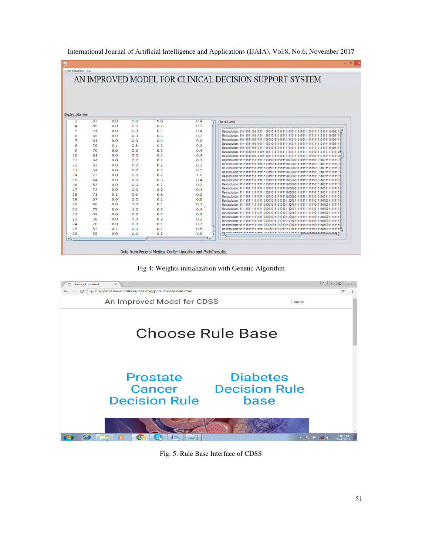| Load Database Run |          |     |     |     |                 |                                                        |
|-------------------|----------|-----|-----|-----|-----------------|--------------------------------------------------------|
|                   |          |     |     |     |                 |                                                        |
|                   |          |     |     |     |                 | AN IMPROVED MODEL FOR CLINICAL DECISION SUPPORT SYSTEM |
|                   |          |     |     |     |                 |                                                        |
|                   |          |     |     |     |                 |                                                        |
|                   |          |     |     |     |                 |                                                        |
|                   |          |     |     |     |                 |                                                        |
|                   |          |     |     |     |                 |                                                        |
|                   |          |     |     |     |                 |                                                        |
| Display data here |          |     |     |     |                 |                                                        |
| 3                 | 83       | 0.0 | 0.0 | 0.8 | 0.4<br>$\Delta$ | <b>Output Area</b>                                     |
| 4                 | 85       | 0.0 | 0.7 | 0.2 | 0.2             |                                                        |
| 5                 | 71       | 0.0 | 0.3 | 0.1 | 0.4             | <b>CALLA UNIVERSITY</b>                                |
| 6                 | 65       | 0.0 | 0.3 | 0.3 | 0.2             |                                                        |
| $\overline{7}$    | 61       | 0.0 | 0.0 | 0.4 | 0.0             |                                                        |
| 8                 | 76       | 0.1 | 0.3 | 0.2 | 0.2             |                                                        |
| 9                 | 70       | 0.0 | 0.3 | 0.1 | 0.4             |                                                        |
| 10                | 81       | 0.0 | 0.0 | 0.2 | 0.4             |                                                        |
| 11                | 64       | 0.0 | 0.7 | 0.2 | 0.2             |                                                        |
| 12                | 82       | 0.0 | 0.0 | 0.2 | 0.3             |                                                        |
| 13                | 64       | 0.0 | 0.7 | 0.2 | 0.5             |                                                        |
| 14                | 73       | 0.0 | 0.0 | 0.2 | 1.0             |                                                        |
| 15                | 64       | 0.0 | 0.0 | 0.3 | 0.4             |                                                        |
| 16                | 53       | 0.0 | 0.0 | 0.2 | 0.2             |                                                        |
|                   | 72       |     |     |     |                 |                                                        |
| 17                |          | 0.0 | 0.0 | 0.2 | 0.4             |                                                        |
| 18                | 71<br>67 | 0.1 | 0.3 | 0.8 | 0.2             |                                                        |
| 19                |          | 0.0 | 0.0 | 0.2 | 0.0             |                                                        |
| 20                | 86       | 0.0 | 1.0 | 0.1 | 0.2             |                                                        |
| 21                | 75       | 0.0 | 1.0 | 0.3 | 0.4             |                                                        |
| 22                | 58       | 0.0 | 0.3 | 0.4 | 0.4             |                                                        |
| 23                | 58       | 0.0 | 0.0 | 0.2 | 0.2             |                                                        |
| 24                | 70       | 0.0 | 0.0 | 0.1 | 0.3             |                                                        |
| 25                | 53       | 0.1 | 0.0 | 0.2 | 0.5             | Best solution: 1111                                    |
| 26                | 55       | 0.0 | 0.0 | 0.2 | 1.0             | <b>Dont nobilian: 444</b><br>************************* |
| $\rightarrow$     |          |     |     |     |                 |                                                        |

Fig 4: Weights initialization with Genetic Algorithm



Fig. 5: Rule Base Interface of CDSS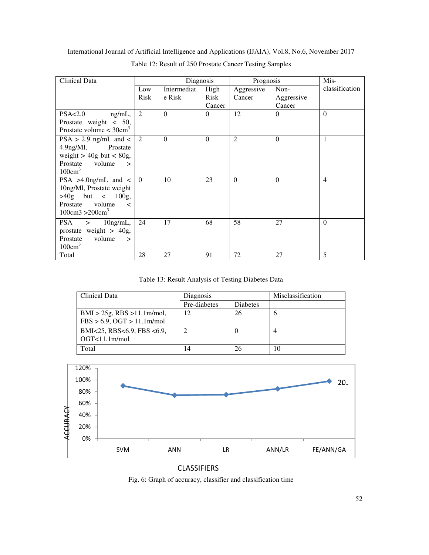| International Journal of Artificial Intelligence and Applications (IJAIA), Vol.8, No.6, November 2017 |  |
|-------------------------------------------------------------------------------------------------------|--|
|-------------------------------------------------------------------------------------------------------|--|

| Clinical Data                         | Diagnosis |             |             | Prognosis  |            | Mis-           |
|---------------------------------------|-----------|-------------|-------------|------------|------------|----------------|
|                                       | Low       | Intermediat | High        | Aggressive | Non-       | classification |
|                                       | Risk      | e Risk      | <b>Risk</b> | Cancer     | Aggressive |                |
|                                       |           |             | Cancer      |            | Cancer     |                |
| PSA<2.0<br>$ng/mL$ ,                  | 2         | $\theta$    | $\Omega$    | 12         | $\Omega$   | $\Omega$       |
| Prostate weight $< 50$ ,              |           |             |             |            |            |                |
| Prostate volume $<$ 30cm <sup>3</sup> |           |             |             |            |            |                |
| $PSA > 2.9$ ng/mL and <               | 2         | $\theta$    | $\Omega$    | 2          | $\theta$   | 1              |
| $4.9$ ng/Ml,<br>Prostate              |           |             |             |            |            |                |
| weight $>$ 40g but $<$ 80g,           |           |             |             |            |            |                |
| Prostate<br>volume<br>$\mathbf{I}$    |           |             |             |            |            |                |
| $100 \text{cm}^3$                     |           |             |             |            |            |                |
| PSA >4.0ng/mL and $\lt$ 0             |           | 10          | 23          | $\theta$   | $\theta$   | $\overline{4}$ |
| 10ng/Ml, Prostate weight              |           |             |             |            |            |                |
| $>40g$ but < $100g$ ,                 |           |             |             |            |            |                |
| volume<br>Prostate<br>$\lt$           |           |             |             |            |            |                |
| $100 \text{cm}^3 > 200 \text{cm}^3$   |           |             |             |            |            |                |
| PSA ><br>$10$ ng/mL,                  | 24        | 17          | 68          | 58         | 27         | $\Omega$       |
| prostate weight $> 40g$ ,             |           |             |             |            |            |                |
| volume<br>Prostate<br>$\geq$          |           |             |             |            |            |                |
| $100 \text{cm}^3$                     |           |             |             |            |            |                |
| Total                                 | 28        | 27          | 91          | 72         | 27         | 5              |

Table 12: Result of 250 Prostate Cancer Testing Samples

Table 13: Result Analysis of Testing Diabetes Data

| Clinical Data                                                     | Diagnosis    |          | Misclassification |  |
|-------------------------------------------------------------------|--------------|----------|-------------------|--|
|                                                                   | Pre-diabetes | Diabetes |                   |  |
| $BMI > 25g$ , RBS $>11.1m/mol$ ,<br>$FBS > 6.9$ , OGT > 11.1m/mol | 12           | 26       |                   |  |
| BMI<25, RBS<6.9, FBS <6.9,<br>OGT<11.1m/mol                       |              | O        |                   |  |
| Total                                                             |              |          | 10                |  |



### CLASSIFIERS

Fig. 6: Graph of accuracy, classifier and classification time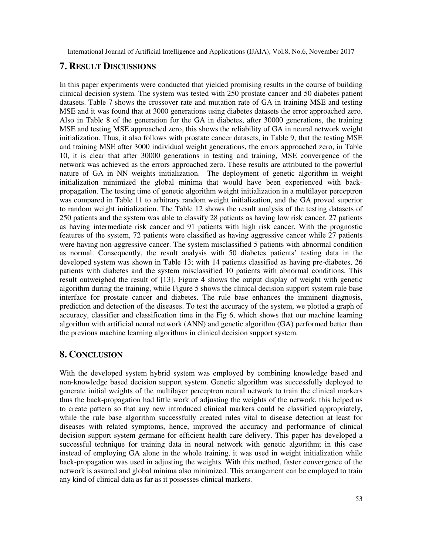# **7. RESULT DISCUSSIONS**

In this paper experiments were conducted that yielded promising results in the course of building clinical decision system. The system was tested with 250 prostate cancer and 50 diabetes patient datasets. Table 7 shows the crossover rate and mutation rate of GA in training MSE and testing MSE and it was found that at 3000 generations using diabetes datasets the error approached zero. Also in Table 8 of the generation for the GA in diabetes, after 30000 generations, the training MSE and testing MSE approached zero, this shows the reliability of GA in neural network weight initialization. Thus, it also follows with prostate cancer datasets, in Table 9, that the testing MSE and training MSE after 3000 individual weight generations, the errors approached zero, in Table 10, it is clear that after 30000 generations in testing and training, MSE convergence of the network was achieved as the errors approached zero. These results are attributed to the powerful nature of GA in NN weights initialization. The deployment of genetic algorithm in weight initialization minimized the global minima that would have been experienced with backpropagation. The testing time of genetic algorithm weight initialization in a multilayer perceptron was compared in Table 11 to arbitrary random weight initialization, and the GA proved superior to random weight initialization. The Table 12 shows the result analysis of the testing datasets of 250 patients and the system was able to classify 28 patients as having low risk cancer, 27 patients as having intermediate risk cancer and 91 patients with high risk cancer. With the prognostic features of the system, 72 patients were classified as having aggressive cancer while 27 patients were having non-aggressive cancer. The system misclassified 5 patients with abnormal condition as normal. Consequently, the result analysis with 50 diabetes patients' testing data in the developed system was shown in Table 13; with 14 patients classified as having pre-diabetes, 26 patients with diabetes and the system misclassified 10 patients with abnormal conditions. This result outweighed the result of [13]. Figure 4 shows the output display of weight with genetic algorithm during the training, while Figure 5 shows the clinical decision support system rule base interface for prostate cancer and diabetes. The rule base enhances the imminent diagnosis, prediction and detection of the diseases. To test the accuracy of the system, we plotted a graph of accuracy, classifier and classification time in the Fig 6, which shows that our machine learning algorithm with artificial neural network (ANN) and genetic algorithm (GA) performed better than the previous machine learning algorithms in clinical decision support system.

# **8. CONCLUSION**

With the developed system hybrid system was employed by combining knowledge based and non-knowledge based decision support system. Genetic algorithm was successfully deployed to generate initial weights of the multilayer perceptron neural network to train the clinical markers thus the back-propagation had little work of adjusting the weights of the network, this helped us to create pattern so that any new introduced clinical markers could be classified appropriately, while the rule base algorithm successfully created rules vital to disease detection at least for diseases with related symptoms, hence, improved the accuracy and performance of clinical decision support system germane for efficient health care delivery. This paper has developed a successful technique for training data in neural network with genetic algorithm; in this case instead of employing GA alone in the whole training, it was used in weight initialization while back-propagation was used in adjusting the weights. With this method, faster convergence of the network is assured and global minima also minimized. This arrangement can be employed to train any kind of clinical data as far as it possesses clinical markers.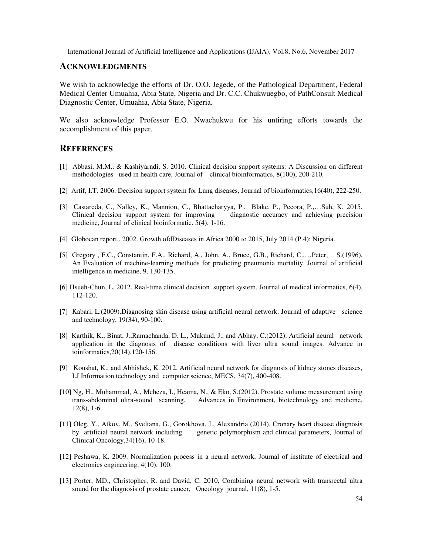#### **ACKNOWLEDGMENTS**

We wish to acknowledge the efforts of Dr. O.O. Jegede, of the Pathological Department, Federal Medical Center Umuahia, Abia State, Nigeria and Dr. C.C. Chukwuegbo, of PathConsult Medical Diagnostic Center, Umuahia, Abia State, Nigeria.

We also acknowledge Professor E.O. Nwachukwu for his untiring efforts towards the accomplishment of this paper.

### **REFERENCES**

- [1] Abbasi, M.M., & Kashiyarndi, S. 2010. Clinical decision support systems: A Discussion on different methodologies used in health care, Journal of clinical bioinformatics, 8(100), 200-210.
- [2] Artif, I.T. 2006. Decision support system for Lung diseases, Journal of bioinformatics,16(40), 222-250.
- [3] Castareda, C., Nalley, K., Mannion, C., Bhattacharyya, P., Blake, P., Pecora, P.,…Suh, K. 2015. Clinical decision support system for improving diagnostic accuracy and achieving precision medicine, Journal of clinical bioinformatic. 5(4), 1-16.
- [4] Globocan report,. 2002. Growth ofdDiseases in Africa 2000 to 2015, July 2014 (P.4); Nigeria.
- [5] Gregory , F.C., Constantin, F.A., Richard, A., John, A., Bruce, G.B., Richard, C.,…Peter, S.(1996). An Evaluation of machine-learning methods for predicting pneumonia mortality. Journal of artificial intelligence in medicine, 9, 130-135.
- [6] Hsueh-Chun, L. 2012. Real-time clinical decision support system. Journal of medical informatics, 6(4), 112-120.
- [7] Kabari, L.(2009).Diagnosing skin disease using artificial neural network. Journal of adaptive science and technology, 19(34), 90-100.
- [8] Karthik, K., Binat, J.,Ramachanda, D. L., Mukund, J., and Abhay, C.(2012). Artificial neural network application in the diagnosis of disease conditions with liver ultra sound images. Advance in ioinformatics,20(14),120-156.
- [9] Koushat, K., and Abhishek, K. 2012. Artificial neural network for diagnosis of kidney stones diseases, I.J Information technology and computer science, MECS, 34(7), 400-408.
- [10] Ng, H., Muhammad, A., Meheza, I., Heama, N., & Eko, S.(2012). Prostate volume measurement using trans-abdominal ultra-sound scanning. Advances in Environment, biotechnology and medicine, 12(8), 1-6.
- [11] Oleg, Y., Atkov, M., Sveltana, G., Gorokhova, J., Alexandria (2014). Cronary heart disease diagnosis by artificial neural network including genetic polymorphism and clinical parameters, Journal of Clinical Oncology,34(16), 10-18.
- [12] Peshawa, K. 2009. Normalization process in a neural network, Journal of institute of electrical and electronics engineering, 4(10), 100.
- [13] Porter, MD., Christopher, R. and David, C. 2010, Combining neural network with transrectal ultra sound for the diagnosis of prostate cancer, Oncology journal, 11(8), 1-5.